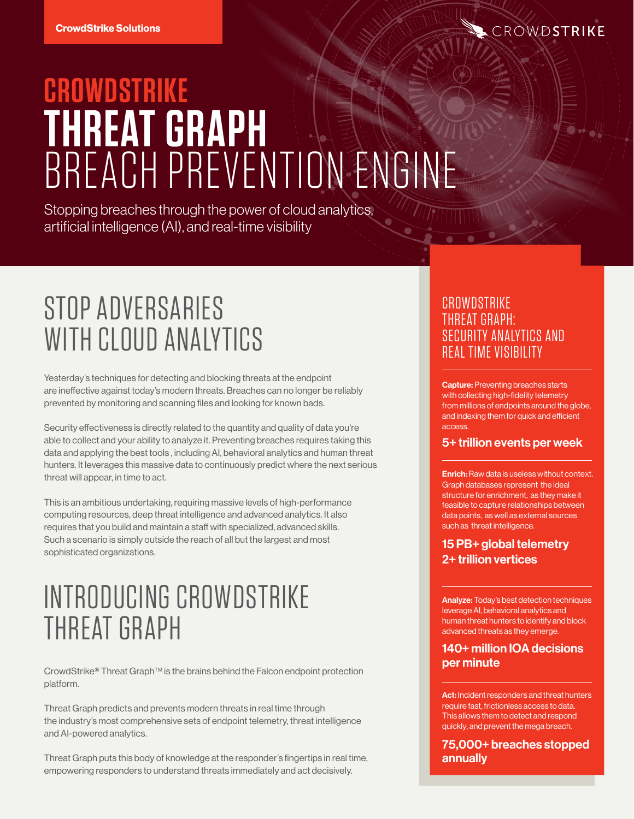

# **CROWDSTRIKE THREAT GRAPH** BREACH PREVENTION ENGINE

Stopping breaches through the power of cloud analytics, artificial intelligence (AI), and real-time visibility

# STOP ADVERSARIES WITH CLOUD ANALYTICS

Yesterday's techniques for detecting and blocking threats at the endpoint are ineffective against today's modern threats. Breaches can no longer be reliably prevented by monitoring and scanning files and looking for known bads.

Security effectiveness is directly related to the quantity and quality of data you're able to collect and your ability to analyze it. Preventing breaches requires taking this data and applying the best tools , including AI, behavioral analytics and human threat hunters. It leverages this massive data to continuously predict where the next serious threat will appear, in time to act.

This is an ambitious undertaking, requiring massive levels of high-performance computing resources, deep threat intelligence and advanced analytics. It also requires that you build and maintain a staff with specialized, advanced skills. Such a scenario is simply outside the reach of all but the largest and most sophisticated organizations.

## INTRODUCING CROWDSTRIKE THREAT GRAPH

CrowdStrike® Threat Graph™ is the brains behind the Falcon endpoint protection platform.

Threat Graph predicts and prevents modern threats in real time through the industry's most comprehensive sets of endpoint telemetry, threat intelligence and AI-powered analytics.

Threat Graph puts this body of knowledge at the responder's fingertips in real time, empowering responders to understand threats immediately and act decisively.

#### **CROWDSTRIKE** THREAT GRAPH: SECURITY ANALYTICS AND REAL TIME VISIBILITY

Capture: Preventing breaches starts with collecting high-fidelity telemetry from millions of endpoints around the globe, and indexing them for quick and efficient access.

#### 5+ trillion events per week

**Enrich:** Raw data is useless without context. Graph databases represent the ideal structure for enrichment, as they make it feasible to capture relationships between data points, as well as external sources such as threat intelligence.

15 PB+ global telemetry 2+ trillion vertices

Analyze: Today's best detection techniques leverage AI, behavioral analytics and human threat hunters to identify and block advanced threats as they emerge.

140+ million IOA decisions per minute

Act: Incident responders and threat hunters require fast, frictionless access to data. This allows them to detect and respond quickly, and prevent the mega breach.

75,000+ breaches stopped annually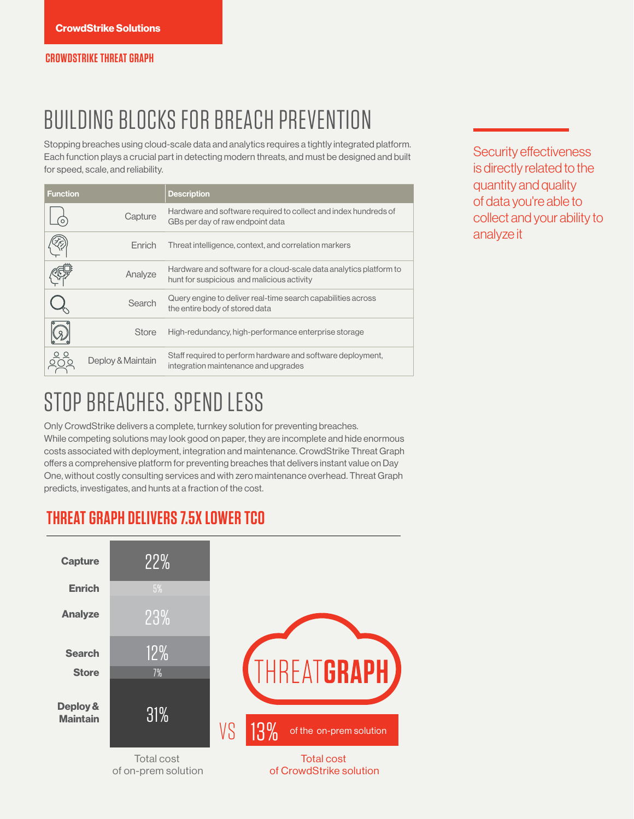## BUILDING BLOCKS FOR BREACH PREVENTION

Stopping breaches using cloud-scale data and analytics requires a tightly integrated platform. Each function plays a crucial part in detecting modern threats, and must be designed and built for speed, scale, and reliability.

| <b>Function</b> |                   | <b>Description</b>                                                                                               |  |
|-----------------|-------------------|------------------------------------------------------------------------------------------------------------------|--|
|                 | Capture           | Hardware and software required to collect and index hundreds of<br>GBs per day of raw endpoint data              |  |
|                 | Fnrich            | Threat intelligence, context, and correlation markers                                                            |  |
|                 | Analyze           | Hardware and software for a cloud-scale data analytics platform to<br>hunt for suspicious and malicious activity |  |
|                 | Search            | Query engine to deliver real-time search capabilities across<br>the entire body of stored data                   |  |
|                 | <b>Store</b>      | High-redundancy, high-performance enterprise storage                                                             |  |
|                 | Deploy & Maintain | Staff required to perform hardware and software deployment,<br>integration maintenance and upgrades              |  |

Security effectiveness is directly related to the quantity and quality of data you're able to collect and your ability to analyze it

### STOP BREACHES. SPEND LESS

Only CrowdStrike delivers a complete, turnkey solution for preventing breaches. While competing solutions may look good on paper, they are incomplete and hide enormous costs associated with deployment, integration and maintenance. CrowdStrike Threat Graph offers a comprehensive platform for preventing breaches that delivers instant value on Day One, without costly consulting services and with zero maintenance overhead. Threat Graph predicts, investigates, and hunts at a fraction of the cost.

### **THREAT GRAPH DELIVERS 7.5X LOWER TCO**